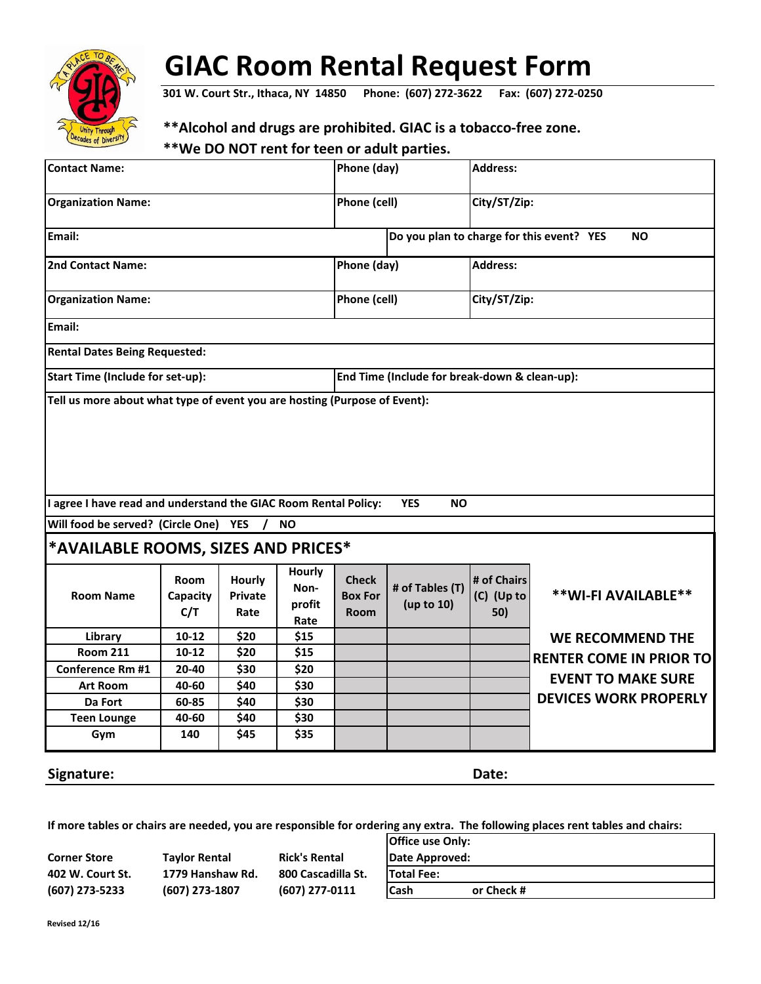

## **GIAC Room Rental Request Form**

**301 W. Court Str., Ithaca, NY 14850 Phone: (607) 272-3622 Fax: (607) 272-0250**

## **\*\*Alcohol and drugs are prohibited. GIAC is a tobacco-free zone.**

## **\*\*We DO NOT rent for teen or adult parties.**

| <b>Contact Name:</b>                                                      |                         |                                  | Phone (day)                      |                                                        | <b>Address:</b>               |                                  |                                |
|---------------------------------------------------------------------------|-------------------------|----------------------------------|----------------------------------|--------------------------------------------------------|-------------------------------|----------------------------------|--------------------------------|
| <b>Organization Name:</b>                                                 |                         |                                  | Phone (cell)                     |                                                        | City/ST/Zip:                  |                                  |                                |
| Email:                                                                    |                         |                                  |                                  | Do you plan to charge for this event? YES<br><b>NO</b> |                               |                                  |                                |
| 2nd Contact Name:                                                         |                         |                                  | Phone (day)                      |                                                        | <b>Address:</b>               |                                  |                                |
| <b>Organization Name:</b>                                                 |                         |                                  |                                  | Phone (cell)                                           |                               | City/ST/Zip:                     |                                |
| Email:                                                                    |                         |                                  |                                  |                                                        |                               |                                  |                                |
| <b>Rental Dates Being Requested:</b>                                      |                         |                                  |                                  |                                                        |                               |                                  |                                |
| <b>Start Time (Include for set-up):</b>                                   |                         |                                  |                                  | End Time (Include for break-down & clean-up):          |                               |                                  |                                |
| Tell us more about what type of event you are hosting (Purpose of Event): |                         |                                  |                                  |                                                        |                               |                                  |                                |
| I agree I have read and understand the GIAC Room Rental Policy:           |                         |                                  |                                  |                                                        | <b>YES</b><br><b>NO</b>       |                                  |                                |
| Will food be served? (Circle One)                                         |                         | <b>YES</b>                       | <b>NO</b>                        |                                                        |                               |                                  |                                |
| *AVAILABLE ROOMS, SIZES AND PRICES*                                       |                         |                                  |                                  |                                                        |                               |                                  |                                |
| <b>Room Name</b>                                                          | Room<br>Capacity<br>C/T | Hourly<br><b>Private</b><br>Rate | Hourly<br>Non-<br>profit<br>Rate | <b>Check</b><br><b>Box For</b><br>Room                 | # of Tables (T)<br>(up to 10) | # of Chairs<br>(C) (Up to<br>50) | ** WI-FI AVAILABLE**           |
| Library                                                                   | $10-12$                 | \$20                             | \$15                             |                                                        |                               |                                  | <b>WE RECOMMEND THE</b>        |
| <b>Room 211</b>                                                           | $10-12$                 | \$20                             | \$15                             |                                                        |                               |                                  | <b>RENTER COME IN PRIOR TO</b> |
| <b>Conference Rm #1</b>                                                   | 20-40                   | \$30                             | \$20                             |                                                        |                               |                                  | <b>EVENT TO MAKE SURE</b>      |
| <b>Art Room</b>                                                           | 40-60                   | \$40                             | \$30                             |                                                        |                               |                                  |                                |
| Da Fort                                                                   | 60-85                   | \$40                             | \$30                             |                                                        |                               |                                  | <b>DEVICES WORK PROPERLY</b>   |
| <b>Teen Lounge</b>                                                        | 40-60                   | \$40                             | \$30                             |                                                        |                               |                                  |                                |
| Gym                                                                       | 140                     | \$45                             | \$35                             |                                                        |                               |                                  |                                |
| Signature:                                                                |                         |                                  |                                  |                                                        |                               | Date:                            |                                |

**Office use Only: If more tables or chairs are needed, you are responsible for ordering any extra. The following places rent tables and chairs:**

|                     |                      |                      | <b>TOTTICE USE ONLY:</b>   |
|---------------------|----------------------|----------------------|----------------------------|
| <b>Corner Store</b> | <b>Taylor Rental</b> | <b>Rick's Rental</b> | Date Approved:             |
| 402 W. Court St.    | 1779 Hanshaw Rd.     | 800 Cascadilla St.   | <b>ITotal Fee:</b>         |
| (607) 273-5233      | (607) 273-1807       | (607) 277-0111       | <b>ICash</b><br>or Check # |